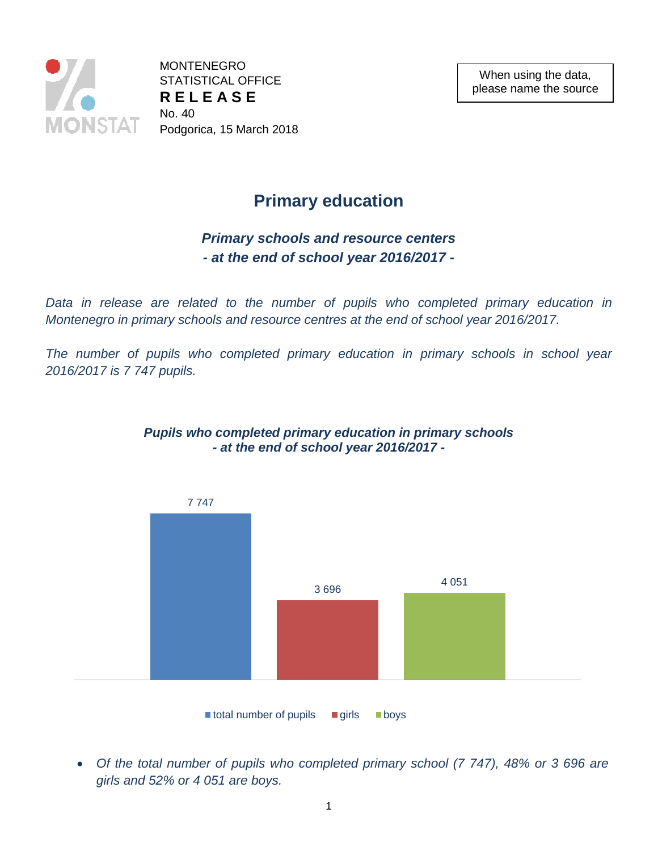

MONTENEGRO STATISTICAL OFFICE **R E L E A S E**  No. 40 Podgorica, 15 March 2018

# **Primary education**

## *Primary schools and resource centers - at the end of school year 2016/2017 -*

*Data in release are related to the number of pupils who completed primary education in Montenegro in primary schools and resource centres at the end of school year 2016/2017.*

*The number of pupils who completed primary education in primary schools in school year 2016/2017 is 7 747 pupils.*



### *Pupils who completed primary education in primary schools - at the end of school year 2016/2017 -*

 *Of the total number of pupils who completed primary school (7 747), 48% or 3 696 are girls and 52% or 4 051 are boys.*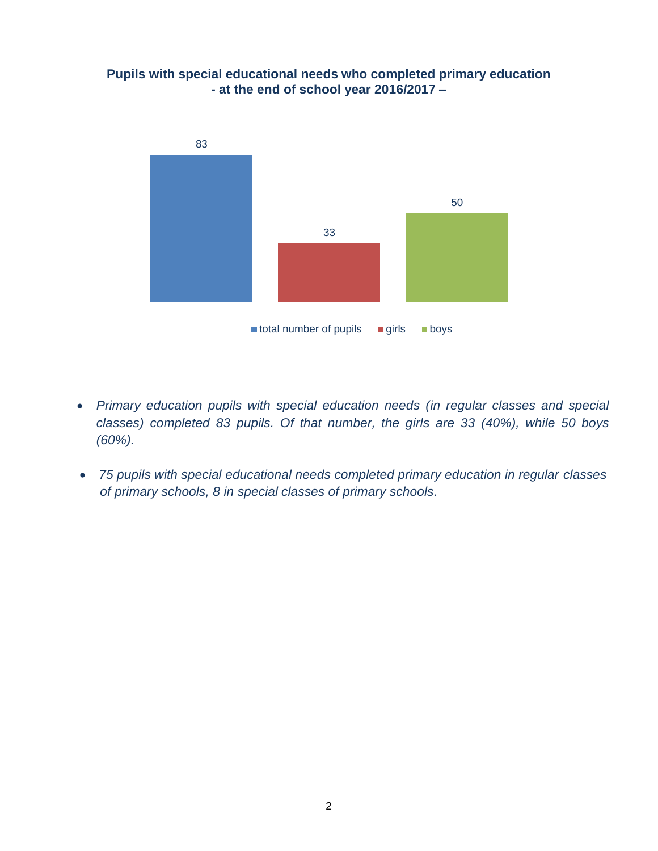

#### **Pupils with special educational needs who completed primary education - at the end of school year 2016/2017 –**

- *Primary education pupils with special education needs (in regular classes and special classes) completed 83 pupils. Of that number, the girls are 33 (40%), while 50 boys (60%).*
- *75 pupils with special educational needs completed primary education in regular classes of primary schools, 8 in special classes of primary schools.*